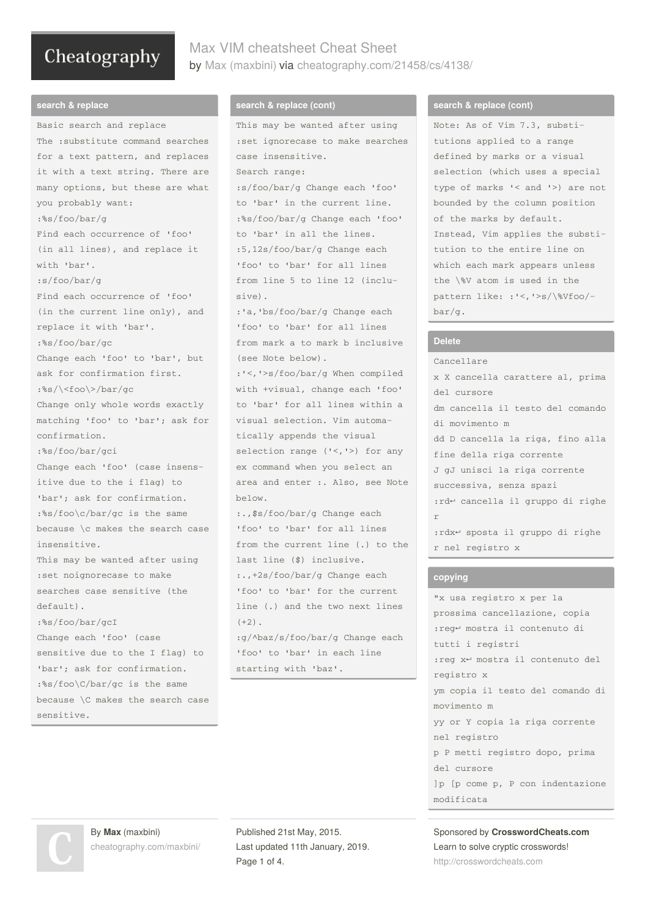## Max VIM cheatsheet Cheat Sheet by Max [\(maxbini\)](http://www.cheatography.com/maxbini/) via [cheatography.com/21458/cs/4138/](http://www.cheatography.com/maxbini/cheat-sheets/max-vim-cheatsheet)

#### **search & replace**

Basic search and replace The :substitute command searches for a text pattern, and replaces it with a text string. There are many options, but these are what you probably want: :%s/foo/bar/g Find each occurrence of 'foo' (in all lines), and replace it with 'bar'. :s/foo/bar/g Find each occurrence of 'foo' (in the current line only), and replace it with 'bar'. :%s/foo/bar/gc Change each 'foo' to 'bar', but ask for confirmation first. :%s/\<foo\>/bar/gc Change only whole words exactly matching 'foo' to 'bar'; ask for confirmation. :%s/foo/bar/gci Change each 'foo' (case insens‐ itive due to the i flag) to 'bar'; ask for confirmation. :%s/foo\c/bar/gc is the same because \c makes the search case insensitive. This may be wanted after using :set noignorecase to make searches case sensitive (the  $defailt)$ :%s/foo/bar/gcI Change each 'foo' (case sensitive due to the I flag) to 'bar'; ask for confirmation. :%s/foo\C/bar/gc is the same because \C makes the search case sensitive.

#### **search & replace (cont)**

```
This may be wanted after using
:set ignorecase to make searches
case insensitive.
Search range:
:s/foo/bar/g Change each 'foo'
to 'bar' in the current line.
:%s/foo/bar/g Change each 'foo'
to 'bar' in all the lines.
:5,12s/foo/bar/g Change each
'foo' to 'bar' for all lines
from line 5 to line 12 (inclu‐
sive).
:'a,'bs/foo/bar/g Change each
'foo' to 'bar' for all lines
from mark a to mark b inclusive
(see Note below).
:'<,'>s/foo/bar/g When compiled
with +visual, change each 'foo'
to 'bar' for all lines within a
visual selection. Vim automa‐
tically appends the visual
selection range ('<,'>) for any
ex command when you select an
area and enter :. Also, see Note
below.
:.,$s/foo/bar/g Change each
'foo' to 'bar' for all lines
from the current line (.) to the
last line ($) inclusive.
:.,+2s/foo/bar/g Change each
'foo' to 'bar' for the current
line (.) and the two next lines
(+2):g/^baz/s/foo/bar/g Change each
'foo' to 'bar' in each line
starting with 'baz'.
```
#### **search & replace (cont)**

Note: As of Vim 7.3, substi‐ tutions applied to a range defined by marks or a visual selection (which uses a special type of marks '< and '>) are not bounded by the column position of the marks by default. Instead, Vim applies the substi‐ tution to the entire line on which each mark appears unless the \%V atom is used in the pattern like: :'<,'>s/\%Vfoo/‐ bar/g.

#### **Delete**

Cancellare x X cancella carattere al, prima del cursore dm cancella il testo del comando di movimento m dd D cancella la riga, fino alla fine della riga corrente J gJ unisci la riga corrente successiva, senza spazi :rd↵ cancella il gruppo di righe r :rdx↵ sposta il gruppo di righe r nel registro x

#### **copying**

"x usa registro x per la prossima cancellazione, copia :reg↵ mostra il contenuto di tutti i registri :reg x↵ mostra il contenuto del registro x ym copia il testo del comando di movimento m yy or Y copia la riga corrente nel registro p P metti registro dopo, prima del cursore ]p [p come p, P con indentazione modificata

Sponsored by **CrosswordCheats.com** Learn to solve cryptic crosswords! <http://crosswordcheats.com>

By **Max** (maxbini) [cheatography.com/maxbini/](http://www.cheatography.com/maxbini/) Published 21st May, 2015. Last updated 11th January, 2019. Page 1 of 4.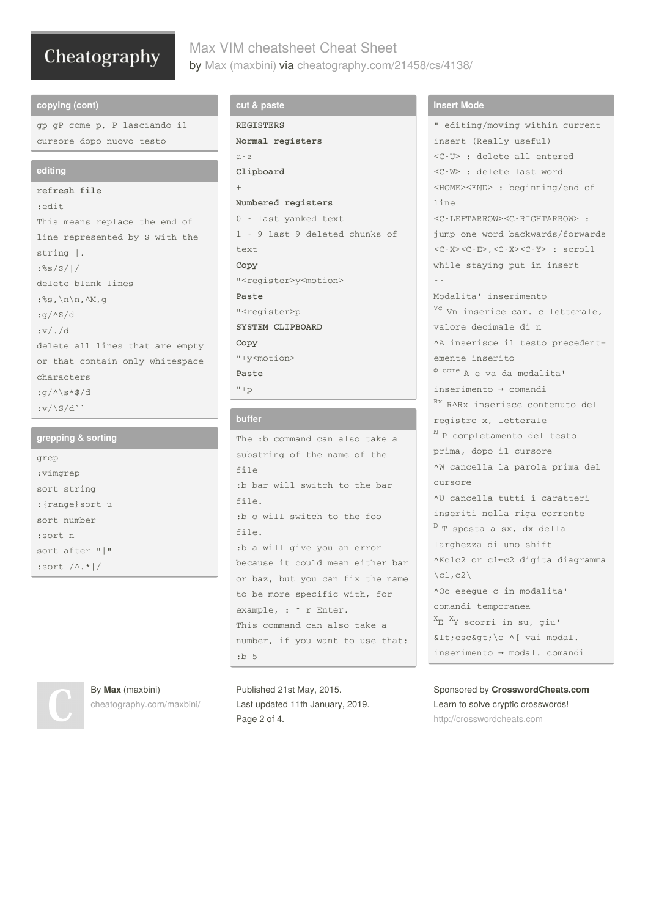# Max VIM cheatsheet Cheat Sheet by Max [\(maxbini\)](http://www.cheatography.com/maxbini/) via [cheatography.com/21458/cs/4138/](http://www.cheatography.com/maxbini/cheat-sheets/max-vim-cheatsheet)

#### **copying (cont)**

gp gP come p, P lasciando il cursore dopo nuovo testo

#### **editing**

**refresh file**  $\cdot$ edit This means replace the end of line represented by \$ with the string |. :%s/\$/|/ delete blank lines :%s,\n\n,^M,g :g/^\$/d :v/./d delete all lines that are empty or that contain only whitespace characters  $:q/\Lambda\$ s\*\$/d  $:v/\S/d$ <sup>\*</sup>

#### **grepping & sorting**

| grep                 |
|----------------------|
| :vimgrep             |
| sort string          |
| : {range} sort u     |
| sort number          |
| :sort n              |
| sort after " "       |
| : sort $\wedge$ .* / |

#### **cut & paste**

**REGISTERS Normal registers** a-z **Clipboard** + **Numbered registers** 0 - last yanked text 1 - 9 last 9 deleted chunks of  $t \in \mathbf{r}$ **Copy** "<register>y<motion> **Paste** "<register>p **SYSTEM CLIPBOARD Copy** "+y<motion> **Paste**  $"+p$ 

#### **buffer**

The :b command can also take a substring of the name of the file :b bar will switch to the bar file. :b o will switch to the foo file. :b a will give you an error because it could mean either bar or baz, but you can fix the name to be more specific with, for example, : ↑ r Enter. This command can also take a number, if you want to use that:  $\cdot b$  5



By **Max** (maxbini) [cheatography.com/maxbini/](http://www.cheatography.com/maxbini/) Published 21st May, 2015. Last updated 11th January, 2019. Page 2 of 4.

#### **Insert Mode**

" editing/moving within current insert (Really useful) <C-U> : delete all entered <C-W> : delete last word <HOME><END> : beginning/end of line <C-LEFTARROW><C-RIGHTARROW> : jump one word backwards/forwards <C-X><C-E>,<C-X><C-Y> : scroll while staying put in insert -- Modalita' inserimento <sup>Vc</sup> Vn inserice car. c letterale, valore decimale di n ^A inserisce il testo precedent‐ emente inserito @ come A e va da modalita' inserimento → comandi Rx RARx inserisce contenuto del registro x, letterale <sup>N</sup> P completamento del testo prima, dopo il cursore ^W cancella la parola prima del cursore ^U cancella tutti i caratteri inseriti nella riga corrente <sup>D</sup> T sposta a sx, dx della larghezza di uno shift ^Kc1c2 or c1←c2 digita diagramma  $\ct(2)$ ^Oc esegue c in modalita' comandi temporanea  $X_{E}$   $X_{Y}$  scorri in su, giu'  $\<$ it; esc $\>$ i $\wedge$ i vai modal. inserimento → modal. comandi

Sponsored by **CrosswordCheats.com** Learn to solve cryptic crosswords! <http://crosswordcheats.com>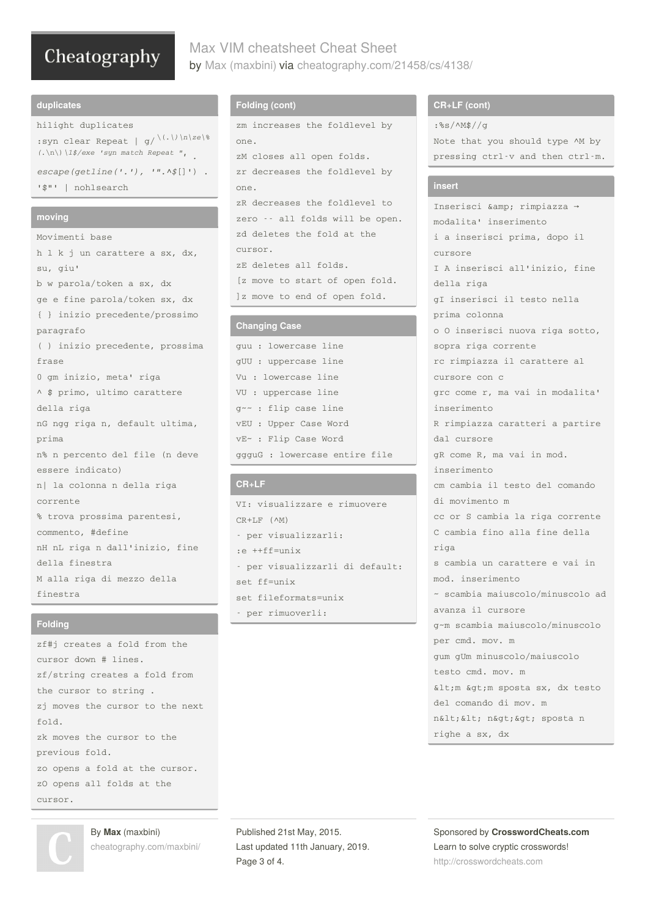## Max VIM cheatsheet Cheat Sheet by Max [\(maxbini\)](http://www.cheatography.com/maxbini/) via [cheatography.com/21458/cs/4138/](http://www.cheatography.com/maxbini/cheat-sheets/max-vim-cheatsheet)

#### **duplicates**

hilight duplicates :syn clear Repeat | g/ \(.*\)\n\ze\% ' . (.*\n\)*\1\$/exe 'syn match Repeat "escape(getline('.'), '".^\$*[]') . '\$"' | nohlsearch

#### **moving**

Movimenti base h l k j un carattere a sx, dx, su, giu' b w parola/token a sx, dx ge e fine parola/token sx, dx { } inizio precedente/prossimo paragrafo ( ) inizio precedente, prossima frase 0 gm inizio, meta' riga ^ \$ primo, ultimo carattere della riga nG ngg riga n, default ultima, prima n% n percento del file (n deve essere indicato) n| la colonna n della riga corrente % trova prossima parentesi, commento, #define nH nL riga n dall'inizio, fine della finestra M alla riga di mezzo della finestra

### **Folding**

zf#j creates a fold from the cursor down # lines. zf/string creates a fold from the cursor to string . zj moves the cursor to the next fold. zk moves the cursor to the previous fold. zo opens a fold at the cursor. zO opens all folds at the cursor.

By **Max** (maxbini) [cheatography.com/maxbini/](http://www.cheatography.com/maxbini/)

## **Folding (cont)**

```
zm increases the foldlevel by
one.
zM closes all open folds.
zr decreases the foldlevel by
one.
zR decreases the foldlevel to
zero -- all folds will be open.
zd deletes the fold at the
cursor.
zE deletes all folds.
```
[z move to start of open fold. ]z move to end of open fold.

#### **Changing Case**

guu : lowercase line gUU : uppercase line Vu : lowercase line VU : uppercase line g~~ : flip case line vEU : Upper Case Word vE~ : Flip Case Word ggguG : lowercase entire file

### **CR+LF**

VI: visualizzare e rimuovere CR+LF (^M) - per visualizzarli: :e ++ff=unix - per visualizzarli di default: set ff=unix set fileformats=unix - per rimuoverli:

#### **CR+LF (cont)**

:%s/^M\$//g

Note that you should type ^M by pressing ctrl-v and then ctrl-m.

#### **insert**

Inserisci & amp; rimpiazza → modalita' inserimento i a inserisci prima, dopo il cursore I A inserisci all'inizio, fine della riga gI inserisci il testo nella prima colonna o O inserisci nuova riga sotto, sopra riga corrente rc rimpiazza il carattere al cursore con c grc come r, ma vai in modalita' inserimento R rimpiazza caratteri a partire dal cursore gR come R, ma vai in mod. inserimento cm cambia il testo del comando di movimento m cc or S cambia la riga corrente C cambia fino alla fine della riga s cambia un carattere e vai in mod. inserimento ~ scambia maiuscolo/minuscolo ad avanza il cursore g~m scambia maiuscolo/minuscolo per cmd. mov. m gum gUm minuscolo/maiuscolo testo cmd. mov. m  $\<:m \$ del comando di mov. m n< &lt; n&gt; &gt; sposta n righe a sx, dx

Sponsored by **CrosswordCheats.com** Learn to solve cryptic crosswords! <http://crosswordcheats.com>